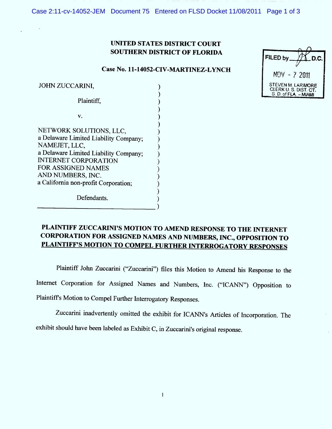Case 2:11-cv-14052-JEM Document 75 Entered on FLSD Docket 11/08/2011 Page 1 of 3

## UNITED STATES DISTRICT COURT **SOUTHERN DISTRICT OF FLORIDA**

### Case No. 11-14052-CIV-MARTINEZ-LYNCH

| JOHN ZUCCARINI,                       |  |
|---------------------------------------|--|
|                                       |  |
| Plaintiff.                            |  |
|                                       |  |
| v.                                    |  |
|                                       |  |
| NETWORK SOLUTIONS, LLC,               |  |
| a Delaware Limited Liability Company; |  |
| NAMEJET, LLC,                         |  |
| a Delaware Limited Liability Company; |  |
| <b>INTERNET CORPORATION</b>           |  |
| FOR ASSIGNED NAMES                    |  |
| AND NUMBERS, INC.                     |  |
| a California non-profit Corporation;  |  |
|                                       |  |
| Defendants.                           |  |

| FILED by.<br>D.C.                                                    |
|----------------------------------------------------------------------|
|                                                                      |
| $NQV - 72011$                                                        |
| STEVEN M. LARIMORE<br>CLERK U. S. DIST. CT.<br>S. D. of FLA. - MIAMI |

# PLAINTIFF ZUCCARINI'S MOTION TO AMEND RESPONSE TO THE INTERNET CORPORATION FOR ASSIGNED NAMES AND NUMBERS, INC., OPPOSITION TO PLAINTIFF'S MOTION TO COMPEL FURTHER INTERROGATORY RESPONSES

Plaintiff John Zuccarini ("Zuccarini") files this Motion to Amend his Response to the Internet Corporation for Assigned Names and Numbers, Inc. ("ICANN") Opposition to Plaintiff's Motion to Compel Further Interrogatory Responses.

Zuccarini inadvertently omitted the exhibit for ICANN's Articles of Incorporation. The exhibit should have been labeled as Exhibit C, in Zuccarini's original response.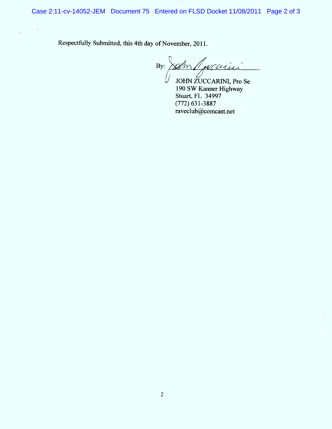Respectfully Submitted, this 4th day of November, 2011.

 $\ddot{\phantom{1}}$ 

i  $By:$ am / porcision

JOHN ZUCCARINI, Pro Se 190 SW Kanner Highway Stuart, FL 34997 (772) 631-3887 raveclub@comcast.net